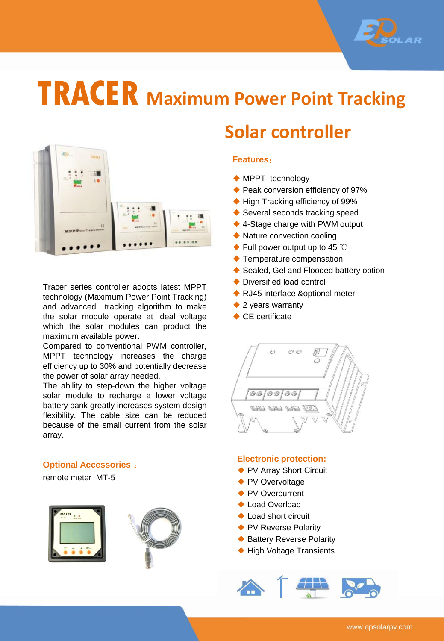

# **TRACER Maximum Power Point Tracking**



Tracer series controller adopts latest MPPT technology (Maximum Power Point Tracking) and advanced tracking algorithm to make the solar module operate at ideal voltage which the solar modules can product the maximum available power.

Compared to conventional PWM controller, MPPT technology increases the charge efficiency up to 30% and potentially decrease the power of solar array needed.

The ability to step-down the higher voltage solar module to recharge a lower voltage battery bank greatly increases system design flexibility. The cable size can be reduced because of the small current from the solar array.

#### **Optional Accessories** :

remote meter MT-5





### **Solar controller**

#### **Features**:

- ◆ MPPT technology
- ◆ Peak conversion efficiency of 97%
- ◆ High Tracking efficiency of 99%
- ◆ Several seconds tracking speed
- ◆ 4-Stage charge with PWM output
- ◆ Nature convection cooling
- ◆ Full power output up to 45 ℃
- ◆ Temperature compensation
- ◆ Sealed, Gel and Flooded battery option
- ◆ Diversified load control
- ◆ RJ45 interface &optional meter
- ◆ 2 years warranty
- ◆ CE certificate

00/00/00

#### **Electronic protection:**

- ◆ PV Array Short Circuit
- ◆ PV Overvoltage
- ◆ PV Overcurrent
- ◆ Load Overload
- ◆ Load short circuit
- ◆ PV Reverse Polarity
- ◆ Battery Reverse Polarity
- ◆ High Voltage Transients